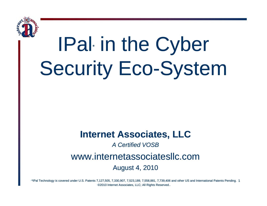

# IPal in the Cyber **Security Eco-System**

#### **Internet Associates, LLC**

#### **A Certified VOSB**

#### www.internetassociatesllc.com

#### **August 4, 2010**

\*IPal Technology is covered under U.S. Patents 7,127,505, 7,330,907, 7,523,189, 7,558,881, 7,739,406 and other US and International Patents Pending. 1 ©2010 Internet Associates, LLC; All Rights Reserved..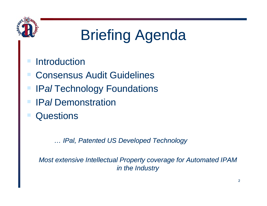

### Briefing Agenda

#### **Introduction**

- Consensus Audit Guidelines
- IP*al* Technology Foundations
- IP*al* Demonstration
- Questions

*… IPal Patented US Developed Technology IPal,* 

*Most extensive Intellectual Property coverage for Automated IPAM in the Industry*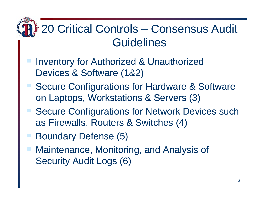### 20 Critical Controls – Consensus Audit Guidelines

- **Inventory for Authorized & Unauthorized** Devices & Software (1&2)
- Secure Configurations for Hardware & Software on Laptops, Workstations & Servers (3)
- Secure Configurations for Network Devices such as Firewalls, Routers & Switches (4)
- Boundary Defense (5)
- Maintenance, Monitoring, and Analysis of Security Audit Logs (6)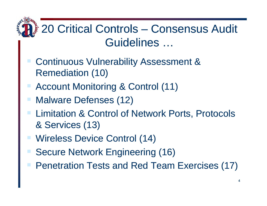### 20 Critical Controls - Consensus Audit Guidelines ...

- **Continuous Vulnerability Assessment & Remediation (10)**
- **Account Monitoring & Control (11)**
- **Malware Defenses (12)**
- **Limitation & Control of Network Ports, Protocols** & Services (13)
- **Wireless Device Control (14)**
- **Secure Network Engineering (16)**
- **Penetration Tests and Red Team Exercises (17)**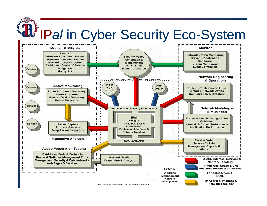# The IPal in Cyber Security Eco-System

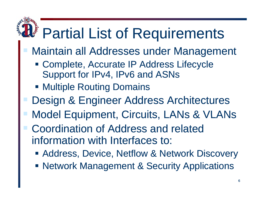### Partial List of Requirements

- Maintain all Addresses under Management
	- Complete, Accurate IP Address Lifecycle Support for IPv4, IPv6 and ASNs
	- **Multiple Routing Domains**
- Design & Engineer Address Architectures
- Model Equipment, Circuits, LANs & VLANs
	- Coordination of Address and related information with Interfaces to:
		- **Address, Device, Netflow & Network Discovery**
		- **Network Management & Security Applications**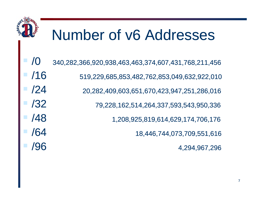### Number of v6 Addresses

| $\blacksquare$ /0  | 340,282,366,920,938,463,463,374,607,431,768,211,456 |
|--------------------|-----------------------------------------------------|
| $\blacksquare$ /16 | 519,229,685,853,482,762,853,049,632,922,010         |
| $\blacksquare$ /24 | 20,282,409,603,651,670,423,947,251,286,016          |
| $\blacksquare$ /32 | 79,228,162,514,264,337,593,543,950,336              |
| $\blacksquare$ /48 | 1,208,925,819,614,629,174,706,176                   |
| $\blacksquare$ /64 | 18,446,744,073,709,551,616                          |
| $\blacksquare$ /96 | 4,294,967,296                                       |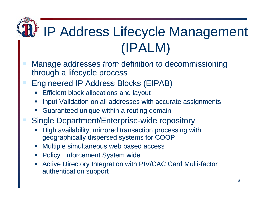### IP Address Lifecycle Management (IPALM)

- Manage addresses from definition to decommissioning through a lifecycle process
- Engineered IP Address Blocks (EIPAB)
	- **Service Service** Efficient block allocations and layout
	- Input Validation on all addresses with accurate assignments
	- Guaranteed unique within a routing domain
- Single Department/Enterprise-wide repository
	- High availability, mirrored transaction processing with geographically dispersed systems for COOP
	- Multiple simultaneous web based access
	- $\mathcal{L}(\mathcal{L})$ Policy Enforcement System wide
	- • Active Directory Integration with PIV/CAC Card Multi-factor authentication support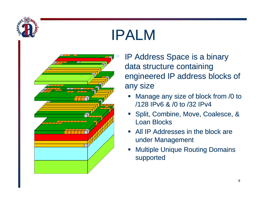

### IPALM

- 
- IP Address Space is a binary data structure containing engineered IP address blocks of any size
	- $\Box$  Manage any size of block from /0 to /128 IPv6 & /0 to /32 IPv4
	- Split, Combine, Move, Coalesce, & Loan Blocks
	- All IP Addresses in the block are under Management
	- Multiple Unique Routing Domains supported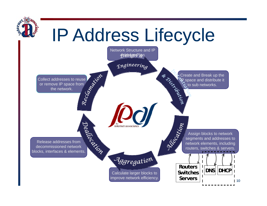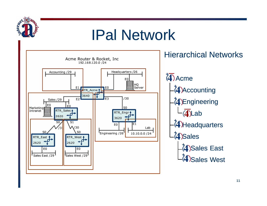

### IPal Network

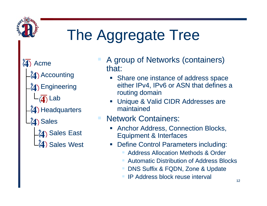

## The Aggregate Tree

 $\overline{\mathbf{4}}$ Acme

Accounting

**4) Engineering** 

 $\overline{\langle \pmb{4} \rangle}$  Lab

 $(4)$  Headquarters

4) Sales

74) Sales East (4) Sales West

- A group of Networks (containers) that:
	- Share one instance of address space either IPv4, IPv6 or ASN that defines a routing domain
	- Unique & Valid CIDR Addresses are maintained

#### **Network Containers:**

- **Anchor Address, Connection Blocks, Equipment & Interfaces**
- **Define Control Parameters including:** 
	- **Address Allocation Methods & Order**
	- **Automatic Distribution of Address Blocks**
	- DNS Suffix & FQDN, Zone & Update
	- **IP Address block reuse interval**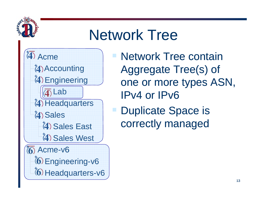### Network Tree

(4) Acme  $e \qquad \qquad$ 

**(4) Accounting** Engineering Lab

**(4) Headquarters** 

Sales

Sales West

Acme-v6  $(6)$  Engineering-v6  $6$  Headquarters-v6  Network Tree contain Aggregate Tree(s) of one or more types ASN, IPv4 or IPv6

**Duplicate Sp Provides**<br>
Sales East **Correctly managed**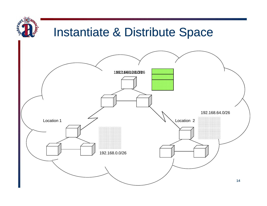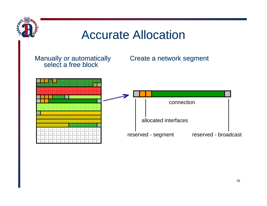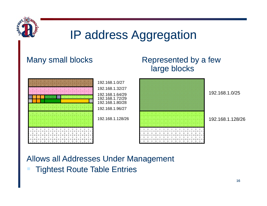

### IP address Aggregation

#### Man y small blocks Re

#### presented by a few large blocks



#### Allows all Addresses Under Management **Tightest Route Table Entries**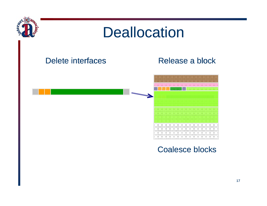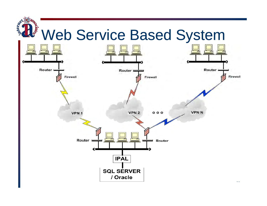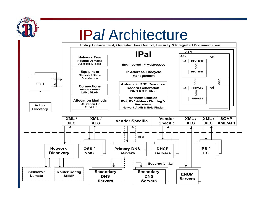

### **IPal Architecture**

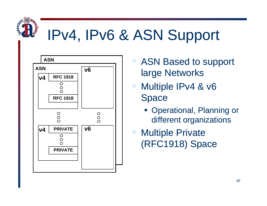

### IPv4, IPv6 & ASN Support



- ASN Based to support large Networks
- Multiple IPv4 & v6 Space
	- **Operational, Planning or** different organizations

Multiple Private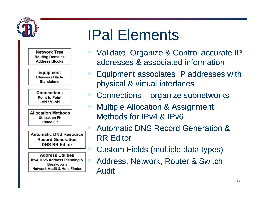

**Network Tree Routing Domains Address Blocks** 

Equipment Chassis / Blade **Standalone** 

**Connections Point to Point LAN / VLAN** 

**Allocation Methods Utilization Fit Rated Fit** 

**Automatic DNS Resource Record Generation DNS RR Editor** 

**Address Utilities** IPv4, IPv6 Address Planning & **Breakdown Network Audit & Hole Finder** 

### IPal Elements

- Validate, Organize & Control accurate IP addresses & associated information
- Equipment associates IP addresses with physical & virtual interfaces
- Connections organize subnetworks
- Multiple Allocation & Assignment Methods for IPv4 & IPv6
	- Automatic DNS Record Generation & RR Editor
		- Custom Fields (multiple data types)
	- Address, Network, Router & Switch Audit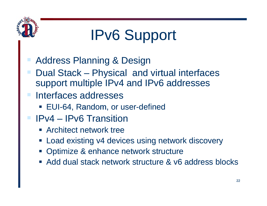

### IPv6 Support

- Address Planning & Design
- Dual Stack Physical and virtual interfaces support multiple IPv4 and IPv6 addresses
- Interfaces addresses
	- EUI-64, Random, or user-defined
- **I** IPv4 IPv6 Transition
	- **EXARCHITECT NETWORK TREE**
	- Load existing v4 devices using network discovery
	- **Optimize & enhance network structure**
	- Add dual stack network structure & v6 address blocks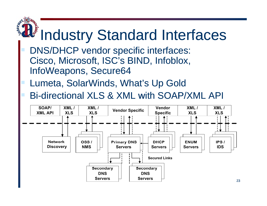# **It's Industry Standard Interfaces**

- DNS/DHCP vendor specific interfaces: Cisco, Microsoft, ISC's BIND, Infoblox, InfoWeapons, Secure64
- Lumeta, SolarWinds, What's Up Gold
- Bi-directional XLS & XML with SOAP/XML API

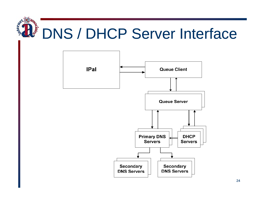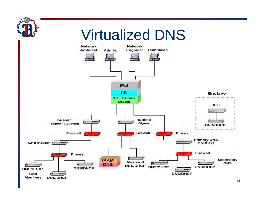

<sup>25</sup>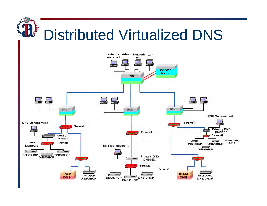#### **TERES** Distributed Virtualized DNS

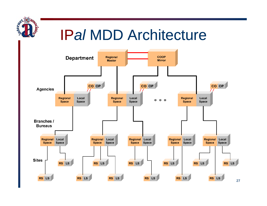### IP*al* MDD Architecture

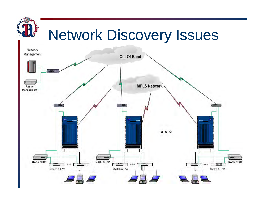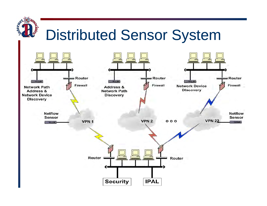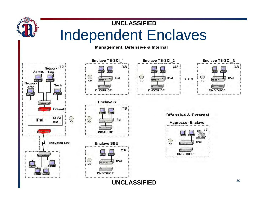